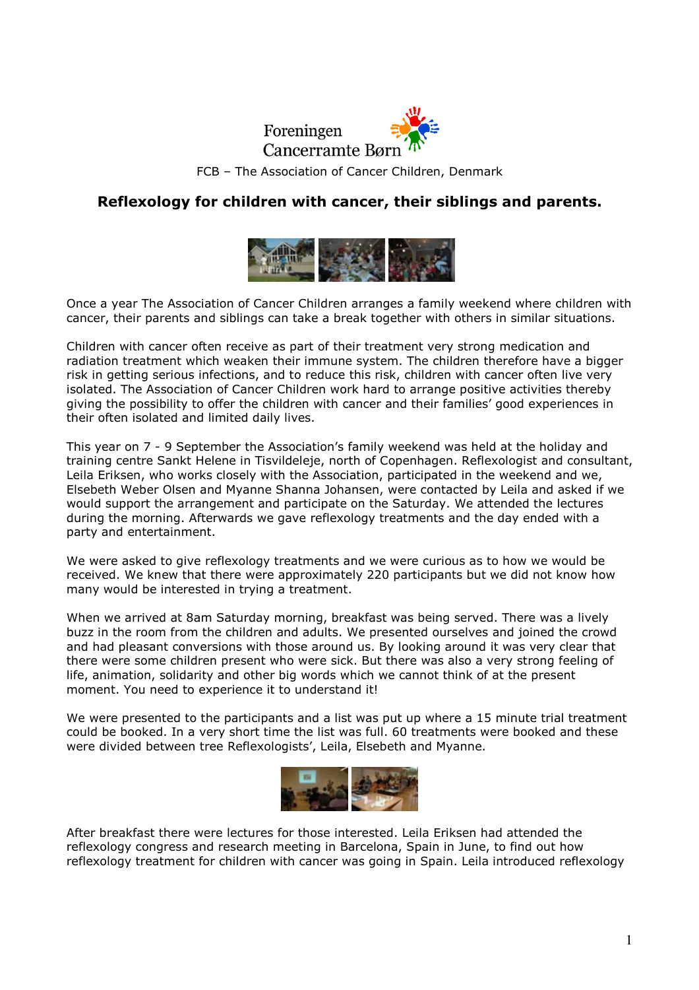

FCB – The Association of Cancer Children, Denmark

## Reflexology for children with cancer, their siblings and parents.



Once a year The Association of Cancer Children arranges a family weekend where children with cancer, their parents and siblings can take a break together with others in similar situations.

Children with cancer often receive as part of their treatment very strong medication and radiation treatment which weaken their immune system. The children therefore have a bigger risk in getting serious infections, and to reduce this risk, children with cancer often live very isolated. The Association of Cancer Children work hard to arrange positive activities thereby giving the possibility to offer the children with cancer and their families' good experiences in their often isolated and limited daily lives.

This year on 7 - 9 September the Association's family weekend was held at the holiday and training centre Sankt Helene in Tisvildeleje, north of Copenhagen. Reflexologist and consultant, Leila Eriksen, who works closely with the Association, participated in the weekend and we, Elsebeth Weber Olsen and Myanne Shanna Johansen, were contacted by Leila and asked if we would support the arrangement and participate on the Saturday. We attended the lectures during the morning. Afterwards we gave reflexology treatments and the day ended with a party and entertainment.

We were asked to give reflexology treatments and we were curious as to how we would be received. We knew that there were approximately 220 participants but we did not know how many would be interested in trying a treatment.

When we arrived at 8am Saturday morning, breakfast was being served. There was a lively buzz in the room from the children and adults. We presented ourselves and joined the crowd and had pleasant conversions with those around us. By looking around it was very clear that there were some children present who were sick. But there was also a very strong feeling of life, animation, solidarity and other big words which we cannot think of at the present moment. You need to experience it to understand it!

We were presented to the participants and a list was put up where a 15 minute trial treatment could be booked. In a very short time the list was full. 60 treatments were booked and these were divided between tree Reflexologists', Leila, Elsebeth and Myanne.



After breakfast there were lectures for those interested. Leila Eriksen had attended the reflexology congress and research meeting in Barcelona, Spain in June, to find out how reflexology treatment for children with cancer was going in Spain. Leila introduced reflexology